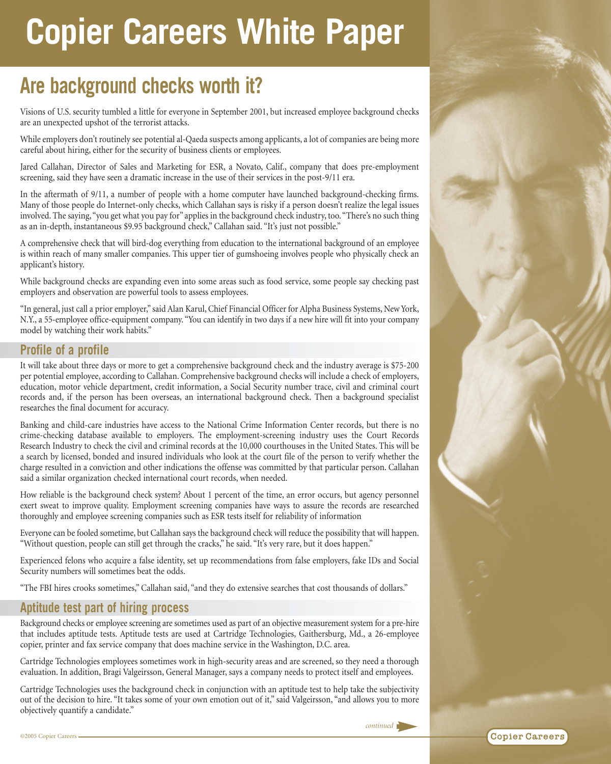# **Copier Careers White Paper**

# **Are background checks worth it?**

Visions of U.S. security tumbled a little for everyone in September 2001, but increased employee background checks are an unexpected upshot of the terrorist attacks.

While employers don't routinely see potential al-Qaeda suspects among applicants, a lot of companies are being more careful about hiring, either for the security of business clients or employees.

Jared Callahan, Director of Sales and Marketing for ESR, a Novato, Calif., company that does pre-employment screening, said they have seen a dramatic increase in the use of their services in the post-9/11 era.

In the aftermath of 9/11, a number of people with a home computer have launched background-checking firms. Many of those people do Internet-only checks, which Callahan says is risky if a person doesn't realize the legal issues involved. The saying,"you get what you pay for" applies in the background check industry, too."There's no such thing as an in-depth, instantaneous \$9.95 background check," Callahan said. "It's just not possible."

A comprehensive check that will bird-dog everything from education to the international background of an employee is within reach of many smaller companies. This upper tier of gumshoeing involves people who physically check an applicant's history.

While background checks are expanding even into some areas such as food service, some people say checking past employers and observation are powerful tools to assess employees.

"In general, just call a prior employer," said Alan Karul, Chief Financial Officer for Alpha Business Systems, New York, N.Y., a 55-employee office-equipment company. "You can identify in two days if a new hire will fit into your company model by watching their work habits."

## **Profile of a profile**

It will take about three days or more to get a comprehensive background check and the industry average is \$75-200 per potential employee, according to Callahan. Comprehensive background checks will include a check of employers, education, motor vehicle department, credit information, a Social Security number trace, civil and criminal court records and, if the person has been overseas, an international background check. Then a background specialist researches the final document for accuracy.

Banking and child-care industries have access to the National Crime Information Center records, but there is no crime-checking database available to employers. The employment-screening industry uses the Court Records Research Industry to check the civil and criminal records at the 10,000 courthouses in the United States. This will be a search by licensed, bonded and insured individuals who look at the court file of the person to verify whether the charge resulted in a conviction and other indications the offense was committed by that particular person. Callahan said a similar organization checked international court records, when needed.

How reliable is the background check system? About 1 percent of the time, an error occurs, but agency personnel exert sweat to improve quality. Employment screening companies have ways to assure the records are researched thoroughly and employee screening companies such as ESR tests itself for reliability of information

Everyone can be fooled sometime, but Callahan says the background check will reduce the possibility that will happen. "Without question, people can still get through the cracks," he said. "It's very rare, but it does happen."

Experienced felons who acquire a false identity, set up recommendations from false employers, fake IDs and Social Security numbers will sometimes beat the odds.

"The FBI hires crooks sometimes," Callahan said, "and they do extensive searches that cost thousands of dollars."

### **Aptitude test part of hiring process**

Background checks or employee screening are sometimes used as part of an objective measurement system for a pre-hire that includes aptitude tests. Aptitude tests are used at Cartridge Technologies, Gaithersburg, Md., a 26-employee copier, printer and fax service company that does machine service in the Washington, D.C. area.

Cartridge Technologies employees sometimes work in high-security areas and are screened, so they need a thorough evaluation. In addition, Bragi Valgeirsson, General Manager, says a company needs to protect itself and employees.

Cartridge Technologies uses the background check in conjunction with an aptitude test to help take the subjectivity out of the decision to hire. "It takes some of your own emotion out of it," said Valgeirsson, "and allows you to more objectively quantify a candidate."

*continued*